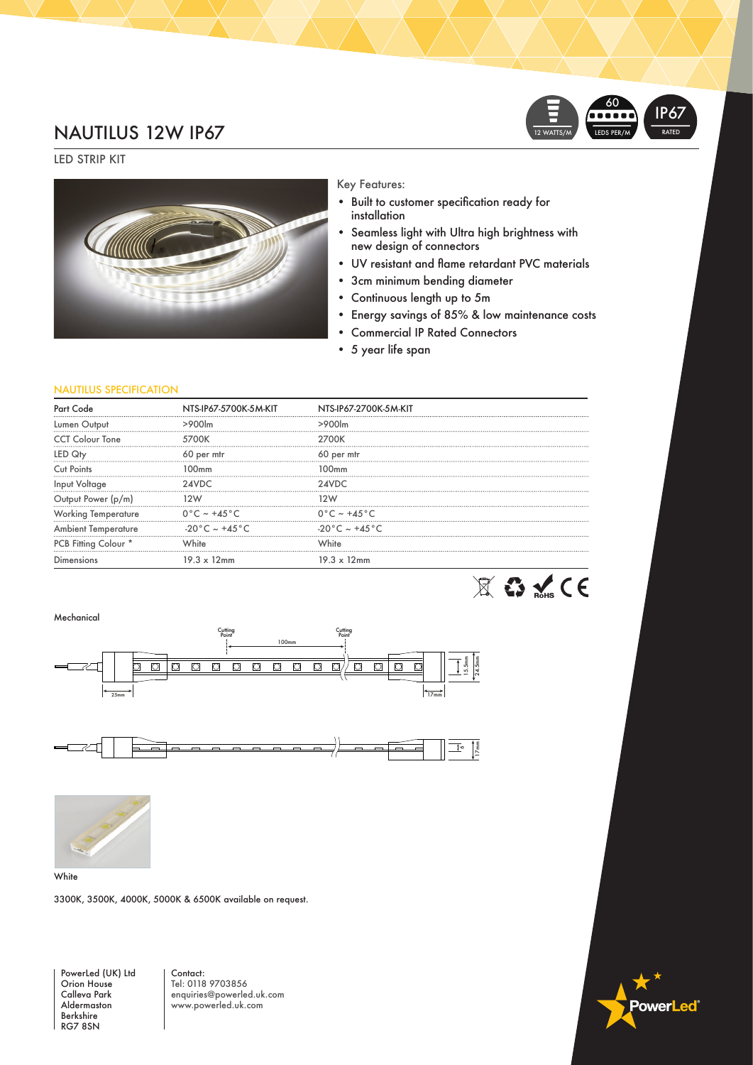### NAUTILUS 12W IP67



LED STRIP KIT



#### Key Features:

- • Built to customer specification ready for installation
- • Seamless light with Ultra high brightness with new design of connectors
- • UV resistant and flame retardant PVC materials
- • 3cm minimum bending diameter
- • Continuous length up to 5m
- Energy savings of 85% & low maintenance costs
- • Commercial IP Rated Connectors
- • 5 year life span

#### NAUTILUS SPECIFICATION

|                            | NTS-IP67-5700K-5M-KIT            | NTS-IP67-2700K-5M-KIT            |  |
|----------------------------|----------------------------------|----------------------------------|--|
| Lumen Output               |                                  | >900 <sub>cm</sub>               |  |
| <b>CCT Colour Tone</b>     | 5700K                            | 2700K                            |  |
|                            | 60 per mtr                       | 60 per mtr                       |  |
| Cut Points                 | :00mm                            | 100mm                            |  |
| Input Voltage              |                                  | 24VDC                            |  |
| Output Power (p/m)         |                                  |                                  |  |
| <b>Working Temperature</b> | $0^{\circ}$ C ~ +45 °C           | $0^{\circ}$ C ~ +45 $^{\circ}$ C |  |
| <b>Ambient Temperature</b> | $-20\degree C$ ~ +45 $\degree C$ | $-20\degree C$ ~ +45 $\degree C$ |  |
| PCB Fitting Colour *       | White                            | White                            |  |
| Dimensions                 | $19.3 \times 12$ mm              | $19.3 \times 12$ mm              |  |
|                            |                                  |                                  |  |





**White** 

3300K, 3500K, 4000K, 5000K & 6500K available on request.

PowerLed (UK) Ltd Orion House Calleva Park Aldermaston Berkshire RG7 8SN

Contact: Tel: 0118 9703856 enquiries@powerled.uk.com www.powerled.uk.com

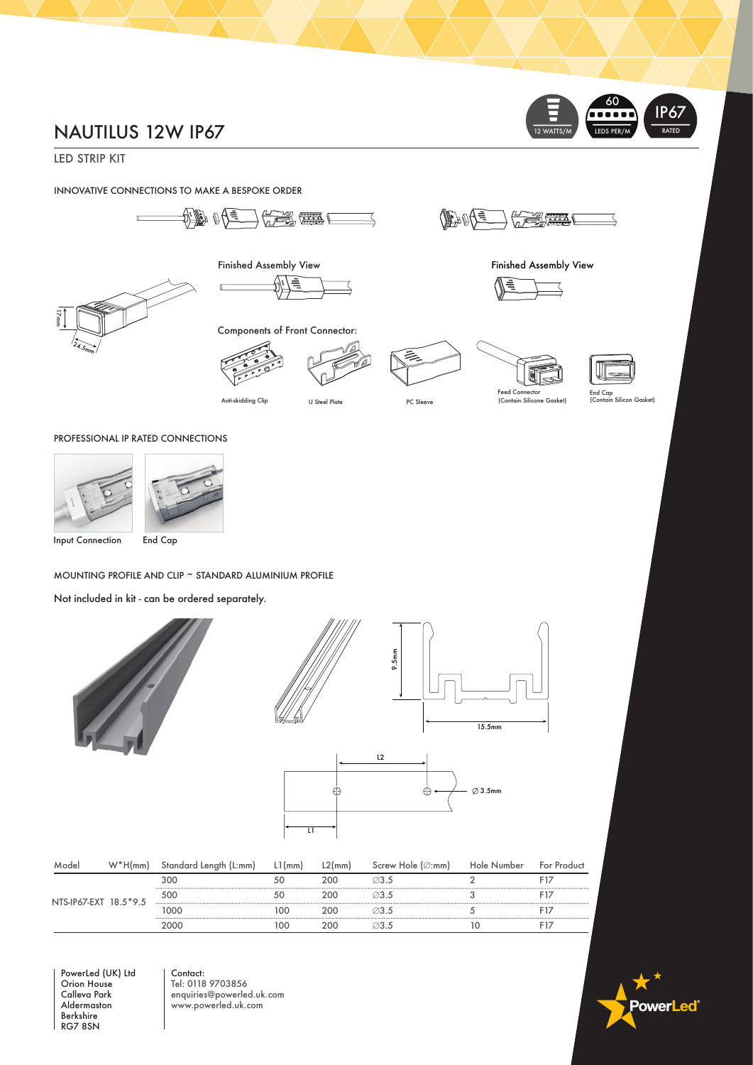# NAUTILUS 12W IP67

LED STRIP KIT

INNOVATIVE CONNECTIONS TO MAKE A BESPOKE ORDER



Finished Assembly View



Components of Front Connector:

Ē



Anti-skidding Clip U Steel Plate PC Sleeve





12 WATTS/M

Finished Assembly View

 $\frac{1}{\sqrt{2}}$ 

**DEANE** 



 $\equiv$ 60

IP67

LEDS PER/M

End Cap (Contain Silicon Gasket)

PROFESSIONAL IP RATED CONNECTIONS





MOUNTING PROFILE AND CLIP ~ STANDARD ALUMINIUM PROFILE

Not included in kit - can be ordered separately.



| Model                 | $W^*H(mm)$ | Standard Length (L:mm) | . l (mm) | L2(mm) | Screw Hole (∅:mm) | Hole Number | For Product |
|-----------------------|------------|------------------------|----------|--------|-------------------|-------------|-------------|
| NTS-IP67-EXT 18.5*9.5 |            | 300                    |          | 200    | ⊘3.5              |             |             |
|                       |            | 500                    |          | 200    |                   |             |             |
|                       |            | oog                    | '00      | 200    | ⊘3.5              |             |             |
|                       |            |                        | $\Omega$ | ገበር.   |                   |             |             |

PowerLed (UK) Ltd Orion House Calleva Park Aldermaston Berkshire RG7 8SN

Contact: Tel: 0118 9703856 enquiries@powerled.uk.com www.powerled.uk.com